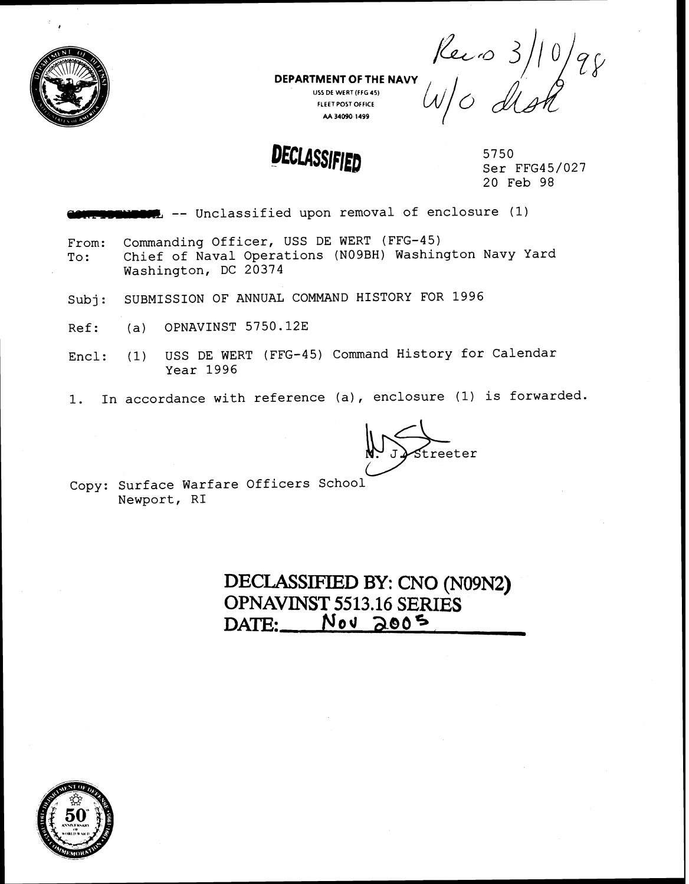

**US5 DE WERT(FFG45) FLEETPOST OFFICE AA 34090 1499** 

DEPARTMENT OF THE NAVY **Rec** 10 3/10/98

5750 Ser FFG45/027<br>20 Feb 98

1. -- Unclassified upon removal of enclosure (1)

DEPARTMENT OF THE NAVY<br>
USER WERT (FIGAS)<br>
USER WERT (FIGAS)<br>
NAVY USER WERT (FIGAS)<br>
DECLASSIFIED<br>
DECLASSIFIED<br>
DECLASSIFIED<br>
Ser FFG45/<br>
20 Feb 98<br>
PECLASSIFIED<br>
Ser FFG45/<br>
20 Feb 98<br>
PECLASSIFIED<br>
Ser FFG45/<br>
20 Feb 9 From: Commanding Officer, USS DE WERT (FFG-45)<br>To: Chief of Naval Operations (N09BH) Washin Chief of Naval Operations (N09BH) Washington Navy Yard Washington, DC 20374

- Subj: SUBMISSION OF ANNUAL COMMAND HISTORY FOR 1996
- $Ref:$  (a) OPNAVINST 5750.12E

Encl: (1) USS DE WERT (FFG-45) Command History for Calendar Year 1996

1. In accordance with reference (a), enclosure (1) is forwarded.

treeter

Copy: Surface Warfare Officers School Newport, RI

> **DECLASSIFIED BY:** CNO **(N09N2) OPNAVINST 55 13.16 SERIES DATE: Nod 2805**

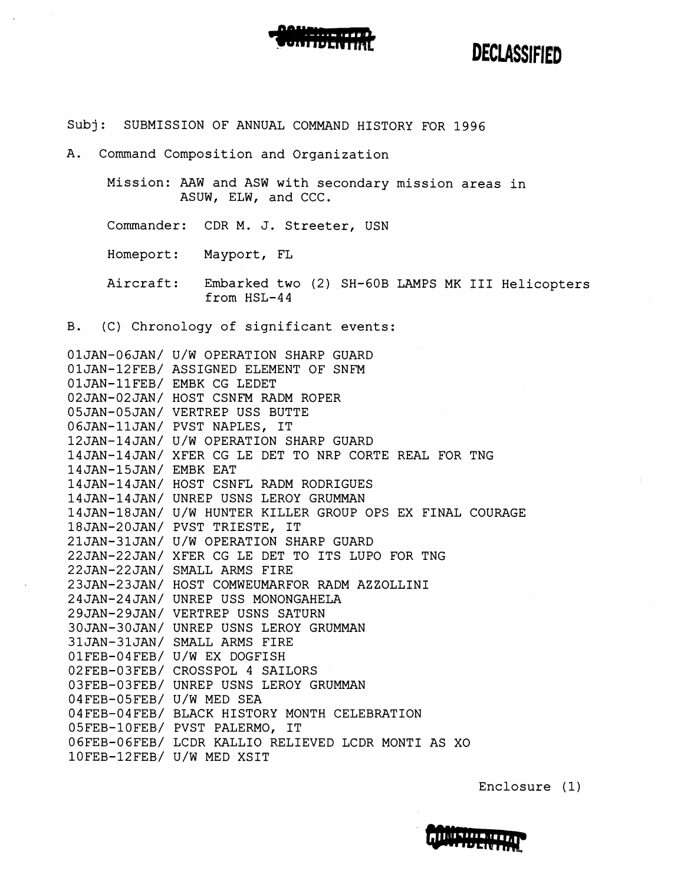

#### Subj: SUBMISSION OF ANNUAL COMMAND HISTORY FOR 1996

A. Command Composition and Organization

Mission: AAW and ASW with secondary mission areas in ASUW, ELW, and CCC.

Commander: CDR M. J. Streeter, USN

Homeport: Mayport, FL

Aircraft: Embarked two (2) SH-GOB LAMPS MK I11 Helicopters from HSL-44

B. (C) Chronology of significant events:

OIJAN-06JAN/ U/W OPERATION SHARP GUARD OIJAN-12FEB/ ASSIGNED ELEMENT OF SNFM OIJAN-11FEB/ EMBK CG LEDET 02JAN-02JAN/ HOST CSNFM RADM ROPER 05JAN-05JAN/ VERTREP USS BUTTE OGJAN-11JAN/ PVST NAPLES, IT 12JAN-14JAN/ U/W OPERATION SHARP GUARD 14JAN-14JAN/ XFER CG LE DET TO NRP CORTE REAL FOR TNG 14JAN-15JAN/ EMBK EAT 14JAN-14JAN/ HOST CSNFL RADM RODRIGUES 14JAN-14JAN/ UNREP USNS LEROY GRUMMAN 14JAN-18JAN/ U/W HUNTER KILLER GROUP OPS EX FINAL COURAGE 18JAN-2OJAN/ PVST TRIESTE, IT 21JAN-31JAN/ U/W OPERATION SHARP GUARD 22JAN-22JAN/ XFER CG LE DET TO ITS LUPO FOR TNG 22JAN-22JAN/ SMALL ARMS FIRE 23JAN-23JAN/ HOST COMWEUMARFOR RADM AZZOLLINI 24JAN-24JAN/ UNREP USS MONOMGAHELA 29JAN-29JAN/ VERTREP USNS SATURN 3OJAN-3OJAN/ UNREP USNS LEROY GRUMMAN 31JAN-31JAN/ SMALL ARMS FIRE 01FEB-04FEB/ U/W EX DOGFISH 02FEB-03FEB/ CROSSPOL 4 SAILORS 03FEB-03FEB/ UNREP USNS LEROY GRUMMAN 04FEB-05FEB/ U/W MED SEA 04FEB-04FEB/ BLACK HISTORY MONTH CELEBRATION 05FEB-lOFEB/ PVST PALERMO, IT OGFEB-O6FEB/ LCDR KALLIO RELIEVED LCDR MONTI AS XO 10FEB-12FEB/ U/W MED XSIT

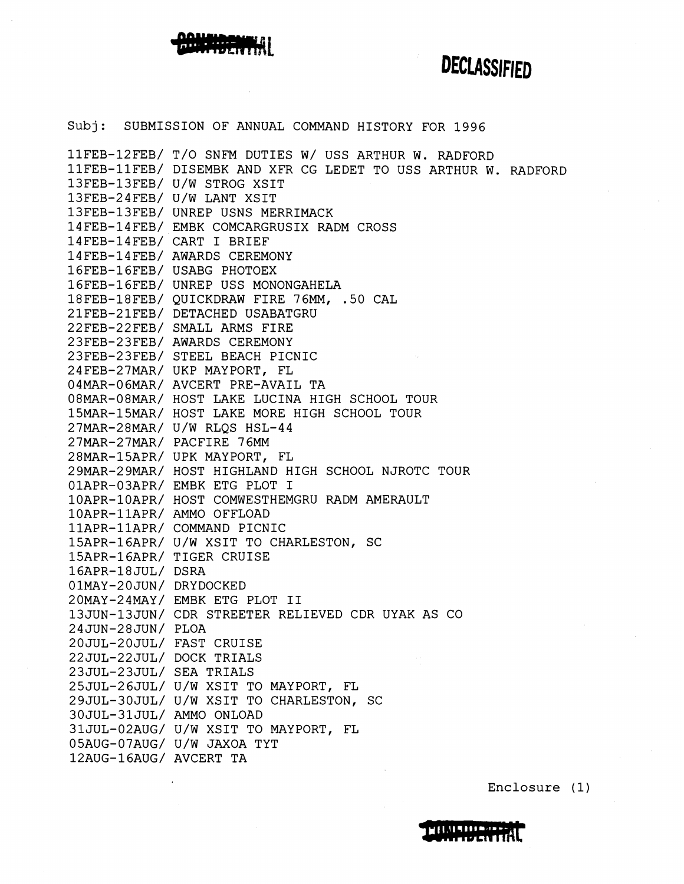

Subj: SUBMISSION OF ANNUAL COMMAND HISTORY FOR 1996 IIFEB-12FEB/ T/O SNFM DUTIES W/ USS ARTHUR W. RADFORD 11FEB-11FEB/ DISEMBK AND XFR CG LEDET TO USS ARTHUR W. RADFORD 13FEB-13FEB/ U/W STROG XSIT 13FEB-24FEB/ U/W LANT XSIT 13FEB-13FEB/ UNREP USNS MERRIMACK 14FEB-14FEB/ EMBK COMCARGRUSIX RADM CROSS 14FEB-14FEB/ CART I BRIEF 14FEB-14FEB/ AWARDS CEREMONY 16FEB-16FEB/ USABG PHOTOEX 16FEB-16FEB/ UNREP USS MONONGAHELA 18FEB-18FEB/ QUICKDRAW FIRE 76MM, .50 CAL 21FEB-21FEB/ DETACHED USABATGRU 22FEB-22FEB/ SMALL ARMS FIRE 23FEB-23FEB/ AWARDS CEREMONY 23FEB-23FEB/ STEEL BEACH PICNIC 24 FEB-27MAR/ UKP MAYPORT, FL 04MAR-O6MAR/ AVCERT PRE-AVAIL TA 08MAR-08MAR/ HOST LAKE LUCINA HIGH SCHOOL TOUR 15MAR-15MAR/ HOST LAKE MORE HIGH SCHOOL TOUR 27MAR-28MAR/ U/W RLQS HSL-44 27MAR-27MAR/ PACFIRE 76MM 28MAR-15APR/ UPK MAYPORT, FL 29MAR-29MAR/ HOST HIGHLAND HIGH SCHOOL NJROTC TOUR 01APR-03APR/ EMBK ETG PLOT I IOAPR-IOAPR/ HOST COMWESTHEMGRU RADM AMERAULT 10APR-11APR/ AMMO OFFLOAD IIAPR-IIAPR/ COMMAND PICNIC 15APR-16APR/ U/W XSIT TO CHARLESTON, SC 15APR-16APR/ TIGER CRUISE 16APR-18 JUL/ DSRA 01MAY-20JUN/ DRYDOCKED 20MAY-24MAY/ EMBK ETG PLOT I1 13JUN-13JUN/ CDR STREETER RELIEVED CDR UYAK AS CO 24JUN-28JUN/ PLOA 20JUL-20JUL/ FAST CRUISE 22JUL-22JUL/ DOCK TRIALS 23JUL-23JUL/ SEA TRIALS 25JUL-26JUL/ U/W XSIT TO MAYPORT, FL 29JUL-30JUL/ U/W XSIT TO CHARLESTON, SC 30JUL-31JUL/ AMMO ONLOAD 31JUL-02AUG/ U/W XSIT TO MAYPORT, FL O5AUG-07AUG/ U/W JAXOA TYT 12AUG-16AUG/ AVCERT TA

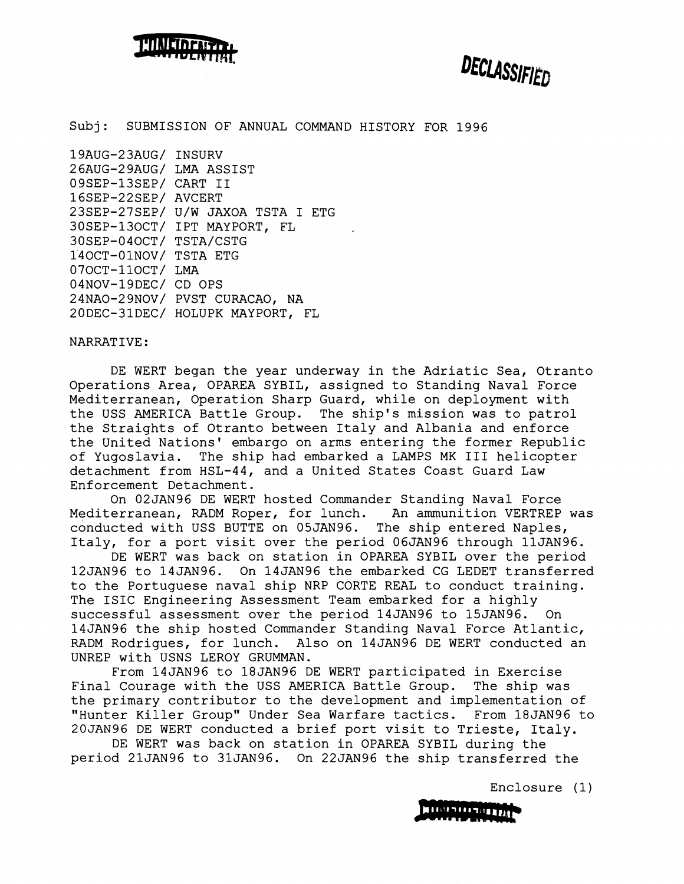

DECLASSIFIED

Subj: SUBMISSION OF ANNUAL COMMAND HISTORY FOR 1996

19AUG-23AUG/ INSURV 26AUG-29AUG/ LMA ASSIST 09SEP-13SEP/ CART II 16SEP-22SEP/ AVCERT 23SEP-27SEP/ U/W JAXOA TSTA I ETG 30SEP-130CT/ IPT MAYPORT, FL 30SEP-040CT/ TSTA/CSTG 140CT-01NOV/ TSTA ETG 070CT-110CT/ LMA 04NOV-19DEC/ CD OPS 24NAO-29NOV/ PVST CURACAO, NA 20DEC-31DEC/ HOLUPK MAYPORT, FL

#### NARRATIVE :

DE WERT began the year underway in the Adriatic Sea, Otranto Operations Area, OPAREA SYBIL, assigned to Standing Naval Force Mediterranean, Operation Sharp Guard, while on deployment with the USS AMERICA Battle Group. The ship's mission was to patrol the Straights of Otranto between Italy and Albania and enforce the United Nations' embargo on arms entering the former Republic of Yugoslavia. The ship had embarked a LAMPS MK **I11** helicopter detachment from HSL-44, and a United States Coast Guard Law Enforcement Detachment.

On 02JAN96 DE WERT hosted Commander Standing Naval Force Mediterranean, RADM Roper, for lunch. An ammunition VERTREP was conducted with USS BUTTE on 05JAN96. The ship entered Naples, Italy, for a port visit over the period 06JAN96 through llJAN96.

DE WERT was back on station in OPAREA SYBIL over the period 12JAN96 to 14JAN96. On 14JAN96 the errbarked CG LEDET transferred to the Portuguese naval ship NRP CORTE REAL to conduct training. The ISIC Engineering Assessment Team embarked for a highly successful assessment over the period 14JAN96 to 15JAN96. On 14JAN96 the ship hosted Commander Standing Naval Force Atlantic, RADM Rodrigues, for lunch. Also on 14JAN96 DE WERT conducted an UNREP with USNS LEROY GRUMMAN.

From 14JAN96 to 18JAN96 DE WERT participated in Exercise Final Courage with the USS AMERICA Battle Group. The ship was the primary contributor to the development and implementation of "Hunter Killer Group" Under Sea Warfare tactics. From 18JAN96 to 20JAN96 DE WERT conducted a brief port visit to Trieste, Italy.

DE WERT was back on station in OPAREA SYBIL during the period 21JAN96 to 31JAN96. On 22JAN96 the ship transferred the

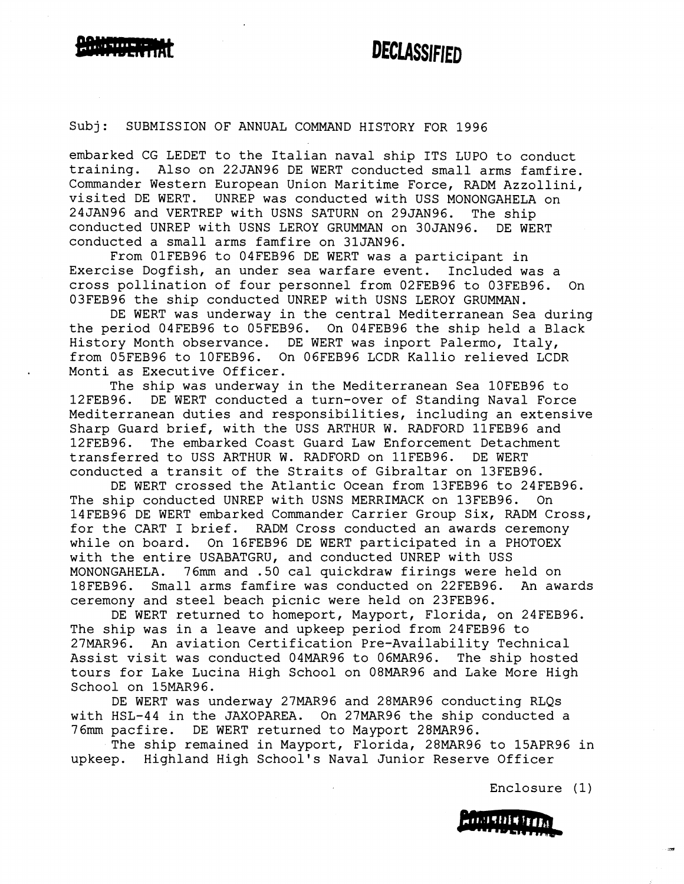### Subj: SUBMISSION OF ANNUAL COMMAND HISTORY FOR 1996

embarked CG LEDET to the Italian naval ship ITS LUPO to conduct training. Also on 22JAN96 DE WERT conducted small arms famfire. Commander Western European Union Maritime Force, RADM Azzollini, visited DE WERT. UNREP was conducted with USS MONONGAHELA on 24JAN96 and VERTREP with USNS SATURN on 29JAN96. The ship conducted UNREP with USNS LEROY GRUMMAN on 30JAN96. DE WERT conducted a small arms famfire on 31JAN96.

From 01FEB96 to 04FEB96 DE WERT was a participant in Exercise Dogfish, an under sea warfare event. Included was a cross pollination of four personnel from 02FEB96 to 03FEB96. On 03FEB96 the ship conducted UNREP with USNS LEROY GRUMMAN.

DE WERT was underway in the central Mediterranean Sea during the period 04FEB96 to 05FEB96. On 04FEB96 the ship held a Black History Month observance. DE WERT was inport Palermo, Italy, from 05FEB96 to 10FEB96. On 06FEB96 LCDR Kallio relieved LCDR Monti as Executive Officer.

The ship was underway in the Mediterranean Sea 10FEB96 to 12FEB96. DE WERT conducted a turn-over of Standing Naval Force Mediterranean duties and responsibilities, including an extensive Sharp Guard brief, with the USS ARTHUR W. RADFORD llFEB96 and 12FEB96. The embarked Coast Guard Law Enforcement Detachment transferred to USS ARTHUR W. RADFORD on llFEB96. DE WERT conducted a transit of the Straits of Gibraltar on 13FEB96.

DE WERT crossed the Atlantic Ocean from 13FEB96 to 24FEB96. The ship conducted UNREP with USNS MERRIMACK on 13FEB96. On 14FEB96 DE WERT embarked Commander Carrier Group Six, RADM Cross, for the CART I brief. RADM Cross conducted an awards ceremony while on board. On 16FEB96 DE WERT participated in a PHOTOEX with the entire USABATGRU, and conducted UNREP with USS MONONGAHELA. 76mm and .50 cal quickdraw firings were held on 18FEB96. Small arms famfire was conducted on 22FEB96. An awards ceremony and steel beach picnic were held on 23FEB96.

DE WERT returned to homeport, Mayport, Florida, on 24FEB96. The ship was in a leave and upkeep period from 24FEB96 to 27MAR96. An aviation Certification Pre-Availability Technical Assist visit was conducted 04MAR96 to 06MAR96. The ship hosted tours for Lake Lucina High School on 08MAR96 and Lake More High School on 15MAR96.

DE WERT was underway 27MAR96 and 28MAR96 conducting RLQs with HSL-44 in the JAXOPAREA. On 27MAR96 the ship conducted a 76mm pacfire. DE WERT returned to Mayport **28MAR96.** 

The ship remained in Mayport, Florida, 28MAR96 to 15APR96 in upkeep. Highland High School's Naval Junior Reserve Officer

Enclosure (1)

**HIMSHIRTED**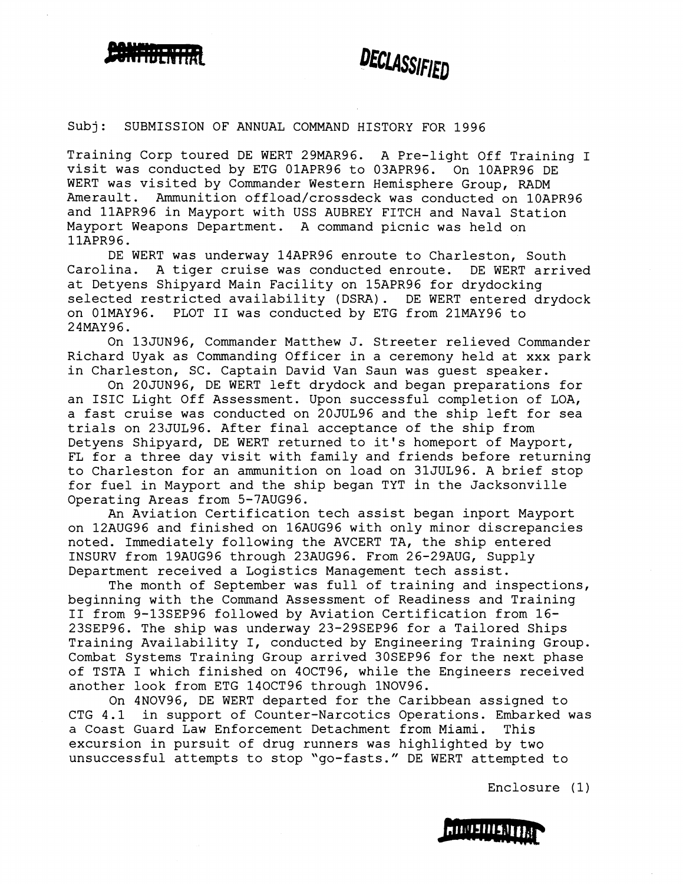



#### Subj: SUBMISSION OF ANNUAL COMMAND HISTORY FOR 1996

Training Corp toured DE WERT 29MAR96. A Pre-light Off Training I visit was conducted by ETG 01APR96 to 03APR96. On 10APR96 DE WERT was visited by Commander Western Hemisphere Group, RADM Amerault. Ammunition offload/crossdeck was conducted on 10APR96 and llAPR96 in Mayport with USS AUBREY FITCH and Naval Station Mayport Weapons Department. A command picnic was held on llAPR96.

DE WERT was underway 14APR96 enroute to Charleston, South Carolina. A tiger cruise was conducted enroute. DE WERT arrived at Detyens Shipyard Main Facility on 15APR96 for drydocking selected restricted availability (DSRA). DE WERT entered drydock on 01MAY96. PLOT I1 was conducted by ETG from 21MAY96 to 24MAY96.

On 13JUN96, Commander Matthew J. Streeter relieved Commander Richard Uyak as Commanding Officer in a ceremony held at xxx park in Charleston, SC. Captain David Van Saun was guest speaker.

On 20JUN96, DE WERT left drydock and began preparations for an ISIC Light Off Assessment. Upon successful completion of LOA, a fast cruise was conducted on 20JUL96 and the ship left for sea trials on 23JUL96. After final acceptance of the ship from Detyens Shipyard, DE WERT returned to it's homeport of Mayport, FL for a three day visit with family and friends before returning to Charleston for an ammunition on load on 31JUL96. A brief stop for fuel in Mayport and the ship began TYT in the Jacksonville Operating Areas from 5-7AUG96.

An Aviation Certification tech assist began inport Mayport on 12AUG96 and finished on 16AUG96 with only minor discrepancies noted. Immediately following the AVCERT TA, the ship entered INSURV from 19AUG96 through 23AUG96. From 26-29AUG, Supply Department received a Logistics Management tech assist.

The month of September was full of training and inspections, beginning with the Command Assessment of Readiness and Training I1 from 9-13SEP96 followed by Aviation Certification from 16- 23SEP96. The ship was underway 23-29SEP96 for a Tailored Ships Training Availability I, conducted by Engineering Training Group. Combat Systems Training Group arrived 30SEP96 for the next phase of TSTA I which finished on 40CT96, while the Engineers received another look from ETG 140CT96 through 1NOV96.

On 4NOV96, DE WERT departed for the Caribbean assigned to CTG 4.1 in support of Counter-Narcotics Operations. Embarked was a Coast Guard Law Enforcement Detachment from Miami. This excursion in pursuit of drug runners was highlighted by two unsuccessful attempts to stop "go-fasts." DE WERT attempted to